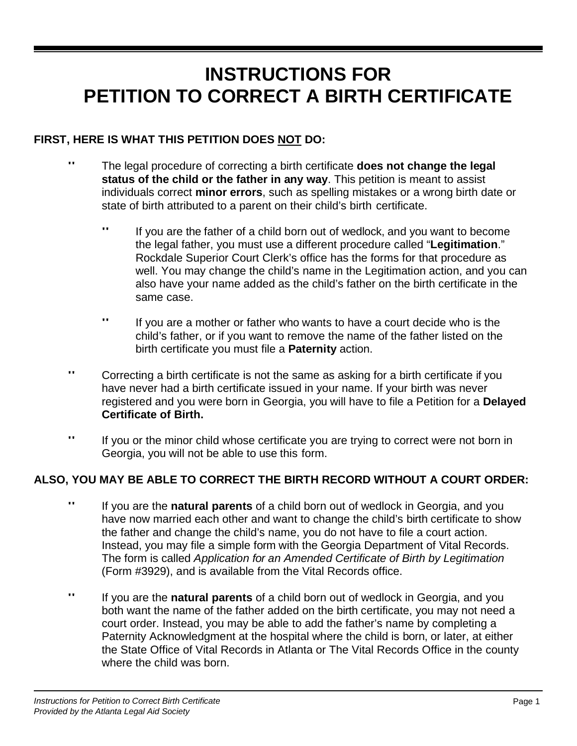# **INSTRUCTIONS FOR PETITION TO CORRECT A BIRTH CERTIFICATE**

# **FIRST, HERE IS WHAT THIS PETITION DOES NOT DO:**

- " The legal procedure of correcting a birth certificate **does not change the legal status of the child or the father in any way**. This petition is meant to assist individuals correct **minor errors**, such as spelling mistakes or a wrong birth date or state of birth attributed to a parent on their child's birth certificate.
	- " If you are the father of a child born out of wedlock, and you want to become the legal father, you must use a different procedure called "**Legitimation**." Rockdale Superior Court Clerk's office has the forms for that procedure as well. You may change the child's name in the Legitimation action, and you can also have your name added as the child's father on the birth certificate in the same case.
	- " If you are a mother or father who wants to have a court decide who is the child's father, or if you want to remove the name of the father listed on the birth certificate you must file a **Paternity** action.
- " Correcting a birth certificate is not the same as asking for a birth certificate if you have never had a birth certificate issued in your name. If your birth was never registered and you were born in Georgia, you will have to file a Petition for a **Delayed Certificate of Birth.**
- " If you or the minor child whose certificate you are trying to correct were not born in Georgia, you will not be able to use this form.

# **ALSO, YOU MAY BE ABLE TO CORRECT THE BIRTH RECORD WITHOUT A COURT ORDER:**

- " If you are the **natural parents** of a child born out of wedlock in Georgia, and you have now married each other and want to change the child's birth certificate to show the father and change the child's name, you do not have to file a court action. Instead, you may file a simple form with the Georgia Department of Vital Records. The form is called *Application for an Amended Certificate of Birth by Legitimation*  (Form #3929), and is available from the Vital Records office.
- " If you are the **natural parents** of a child born out of wedlock in Georgia, and you both want the name of the father added on the birth certificate, you may not need a court order. Instead, you may be able to add the father's name by completing a Paternity Acknowledgment at the hospital where the child is born, or later, at either the State Office of Vital Records in Atlanta or The Vital Records Office in the county where the child was born.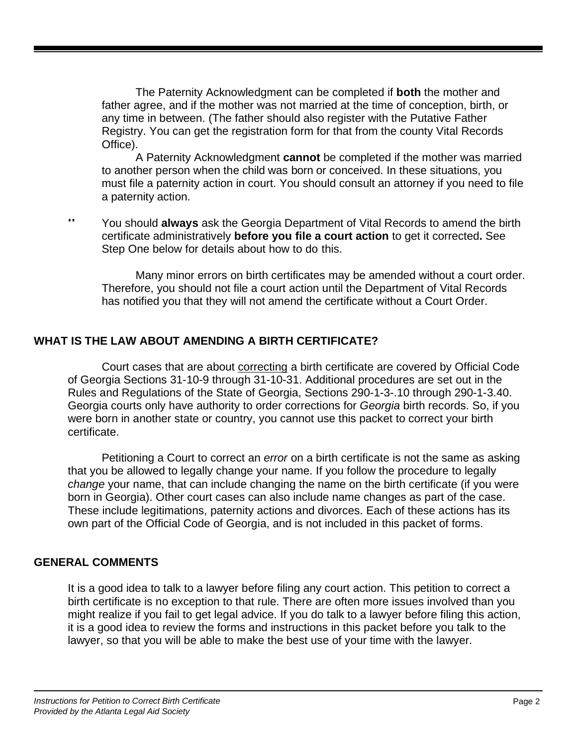The Paternity Acknowledgment can be completed if **both** the mother and father agree, and if the mother was not married at the time of conception, birth, or any time in between. (The father should also register with the Putative Father Registry. You can get the registration form for that from the county Vital Records Office).

A Paternity Acknowledgment **cannot** be completed if the mother was married to another person when the child was born or conceived. In these situations, you must file a paternity action in court. You should consult an attorney if you need to file a paternity action.

" You should **always** ask the Georgia Department of Vital Records to amend the birth certificate administratively **before you file a court action** to get it corrected**.** See Step One below for details about how to do this.

Many minor errors on birth certificates may be amended without a court order. Therefore, you should not file a court action until the Department of Vital Records has notified you that they will not amend the certificate without a Court Order.

#### **WHAT IS THE LAW ABOUT AMENDING A BIRTH CERTIFICATE?**

Court cases that are about correcting a birth certificate are covered by Official Code of Georgia Sections 31-10-9 through 31-10-31. Additional procedures are set out in the Rules and Regulations of the State of Georgia, Sections 290-1-3-.10 through 290-1-3.40. Georgia courts only have authority to order corrections for *Georgia* birth records. So, if you were born in another state or country, you cannot use this packet to correct your birth certificate.

Petitioning a Court to correct an *error* on a birth certificate is not the same as asking that you be allowed to legally change your name. If you follow the procedure to legally *change* your name, that can include changing the name on the birth certificate (if you were born in Georgia). Other court cases can also include name changes as part of the case. These include legitimations, paternity actions and divorces. Each of these actions has its own part of the Official Code of Georgia, and is not included in this packet of forms.

#### **GENERAL COMMENTS**

It is a good idea to talk to a lawyer before filing any court action. This petition to correct a birth certificate is no exception to that rule. There are often more issues involved than you might realize if you fail to get legal advice. If you do talk to a lawyer before filing this action, it is a good idea to review the forms and instructions in this packet before you talk to the lawyer, so that you will be able to make the best use of your time with the lawyer.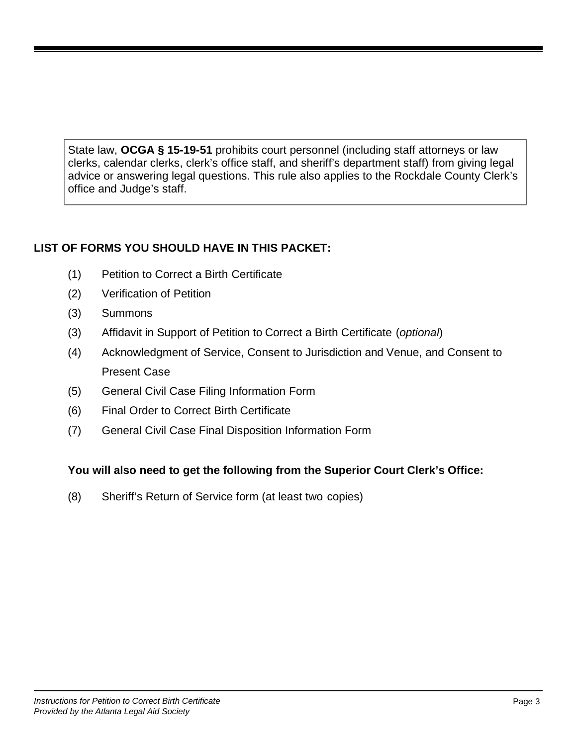State law, **OCGA § 15-19-51** prohibits court personnel (including staff attorneys or law clerks, calendar clerks, clerk's office staff, and sheriff's department staff) from giving legal advice or answering legal questions. This rule also applies to the Rockdale County Clerk's office and Judge's staff.

# **LIST OF FORMS YOU SHOULD HAVE IN THIS PACKET:**

- (1) Petition to Correct a Birth Certificate
- (2) Verification of Petition
- (3) Summons
- (3) Affidavit in Support of Petition to Correct a Birth Certificate (*optional*)
- (4) Acknowledgment of Service, Consent to Jurisdiction and Venue, and Consent to Present Case
- (5) General Civil Case Filing Information Form
- (6) Final Order to Correct Birth Certificate
- (7) General Civil Case Final Disposition Information Form

#### **You will also need to get the following from the Superior Court Clerk's Office:**

(8) Sheriff's Return of Service form (at least two copies)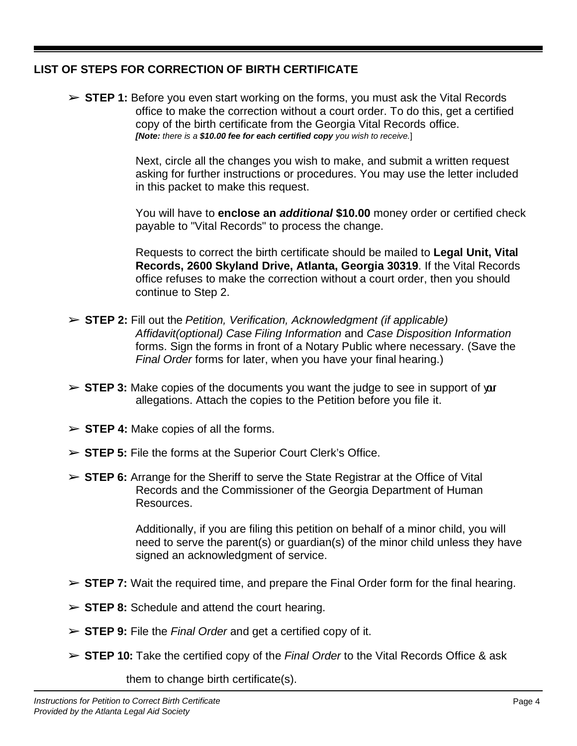#### **LIST OF STEPS FOR CORRECTION OF BIRTH CERTIFICATE**

➢ **STEP 1:** Before you even start working on the forms, you must ask the Vital Records office to make the correction without a court order. To do this, get a certified copy of the birth certificate from the Georgia Vital Records office. *[Note: there is a \$10.00 fee for each certified copy you wish to receive.*]

> Next, circle all the changes you wish to make, and submit a written request asking for further instructions or procedures. You may use the letter included in this packet to make this request.

You will have to **enclose an** *additional* **\$10.00** money order or certified check payable to "Vital Records" to process the change.

Requests to correct the birth certificate should be mailed to **Legal Unit, Vital Records, 2600 Skyland Drive, Atlanta, Georgia 30319**. If the Vital Records office refuses to make the correction without a court order, then you should continue to Step 2.

- ➢ **STEP 2:** Fill out the *Petition, Verification, Acknowledgment (if applicable) Affidavit(optional) Case Filing Information* and *Case Disposition Information*  forms. Sign the forms in front of a Notary Public where necessary. (Save the *Final Order* forms for later, when you have your final hearing.)
- ➢ **STEP 3:** Make copies of the documents you want the judge to see in support of your allegations. Attach the copies to the Petition before you file it.
- ➢ **STEP 4:** Make copies of all the forms.
- ➢ **STEP 5:** File the forms at the Superior Court Clerk's Office.
- ➢ **STEP 6:** Arrange for the Sheriff to serve the State Registrar at the Office of Vital Records and the Commissioner of the Georgia Department of Human Resources.

Additionally, if you are filing this petition on behalf of a minor child, you will need to serve the parent(s) or guardian(s) of the minor child unless they have signed an acknowledgment of service.

- ➢ **STEP 7:** Wait the required time, and prepare the Final Order form for the final hearing.
- ➢ **STEP 8:** Schedule and attend the court hearing.
- ➢ **STEP 9:** File the *Final Order* and get a certified copy of it.
- ➢ **STEP 10:** Take the certified copy of the *Final Order* to the Vital Records Office & ask

them to change birth certificate(s).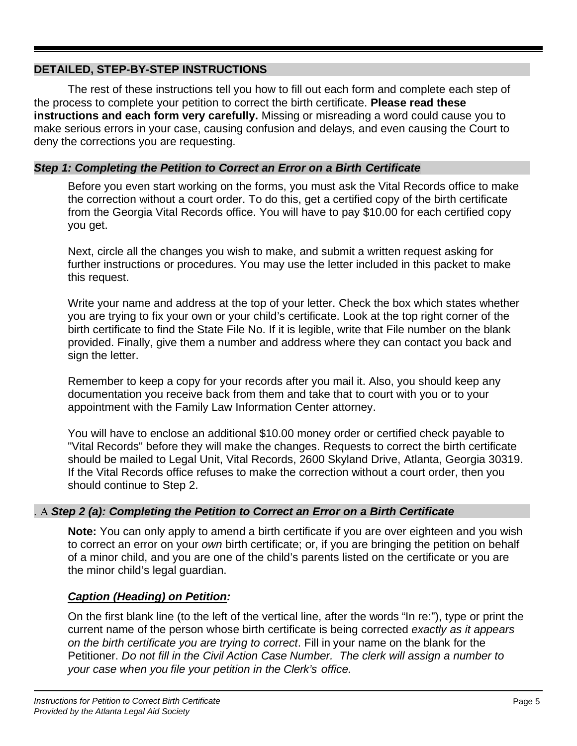#### **DETAILED, STEP-BY-STEP INSTRUCTIONS**

The rest of these instructions tell you how to fill out each form and complete each step of the process to complete your petition to correct the birth certificate. **Please read these instructions and each form very carefully.** Missing or misreading a word could cause you to make serious errors in your case, causing confusion and delays, and even causing the Court to deny the corrections you are requesting.

#### *Step 1: Completing the Petition to Correct an Error on a Birth Certificate*

Before you even start working on the forms, you must ask the Vital Records office to make the correction without a court order. To do this, get a certified copy of the birth certificate from the Georgia Vital Records office. You will have to pay \$10.00 for each certified copy you get.

Next, circle all the changes you wish to make, and submit a written request asking for further instructions or procedures. You may use the letter included in this packet to make this request.

Write your name and address at the top of your letter. Check the box which states whether you are trying to fix your own or your child's certificate. Look at the top right corner of the birth certificate to find the State File No. If it is legible, write that File number on the blank provided. Finally, give them a number and address where they can contact you back and sign the letter.

Remember to keep a copy for your records after you mail it. Also, you should keep any documentation you receive back from them and take that to court with you or to your appointment with the Family Law Information Center attorney.

You will have to enclose an additional \$10.00 money order or certified check payable to "Vital Records" before they will make the changes. Requests to correct the birth certificate should be mailed to Legal Unit, Vital Records, 2600 Skyland Drive, Atlanta, Georgia 30319. If the Vital Records office refuses to make the correction without a court order, then you should continue to Step 2.

#### . Α *Step 2 (a): Completing the Petition to Correct an Error on a Birth Certificate*

**Note:** You can only apply to amend a birth certificate if you are over eighteen and you wish to correct an error on your *own* birth certificate; or, if you are bringing the petition on behalf of a minor child, and you are one of the child's parents listed on the certificate or you are the minor child's legal guardian.

#### *Caption (Heading) on Petition:*

On the first blank line (to the left of the vertical line, after the words "In re:"), type or print the current name of the person whose birth certificate is being corrected *exactly as it appears on the birth certificate you are trying to correct*. Fill in your name on the blank for the Petitioner. *Do not fill in the Civil Action Case Number. The clerk will assign a number to your case when you file your petition in the Clerk's office.*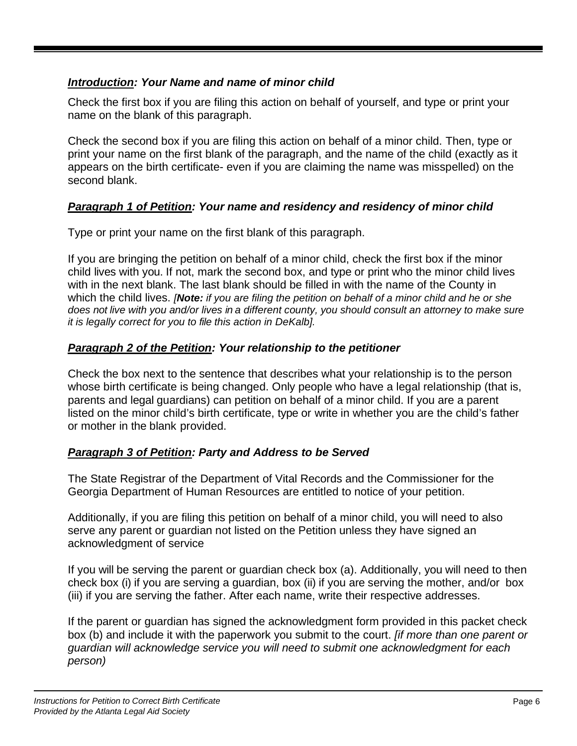### *Introduction: Your Name and name of minor child*

Check the first box if you are filing this action on behalf of yourself, and type or print your name on the blank of this paragraph.

Check the second box if you are filing this action on behalf of a minor child. Then, type or print your name on the first blank of the paragraph, and the name of the child (exactly as it appears on the birth certificate- even if you are claiming the name was misspelled) on the second blank.

# *Paragraph 1 of Petition: Your name and residency and residency of minor child*

Type or print your name on the first blank of this paragraph.

If you are bringing the petition on behalf of a minor child, check the first box if the minor child lives with you. If not, mark the second box, and type or print who the minor child lives with in the next blank. The last blank should be filled in with the name of the County in which the child lives. *[Note: if you are filing the petition on behalf of a minor child and he or she does not live with you and/or lives in a different county, you should consult an attorney to make sure it is legally correct for you to file this action in DeKalb].*

### *Paragraph 2 of the Petition: Your relationship to the petitioner*

Check the box next to the sentence that describes what your relationship is to the person whose birth certificate is being changed. Only people who have a legal relationship (that is, parents and legal guardians) can petition on behalf of a minor child. If you are a parent listed on the minor child's birth certificate, type or write in whether you are the child's father or mother in the blank provided.

# *Paragraph 3 of Petition: Party and Address to be Served*

The State Registrar of the Department of Vital Records and the Commissioner for the Georgia Department of Human Resources are entitled to notice of your petition.

Additionally, if you are filing this petition on behalf of a minor child, you will need to also serve any parent or guardian not listed on the Petition unless they have signed an acknowledgment of service

If you will be serving the parent or guardian check box (a). Additionally, you will need to then check box (i) if you are serving a guardian, box (ii) if you are serving the mother, and/or box (iii) if you are serving the father. After each name, write their respective addresses.

If the parent or guardian has signed the acknowledgment form provided in this packet check box (b) and include it with the paperwork you submit to the court. *[if more than one parent or guardian will acknowledge service you will need to submit one acknowledgment for each person)*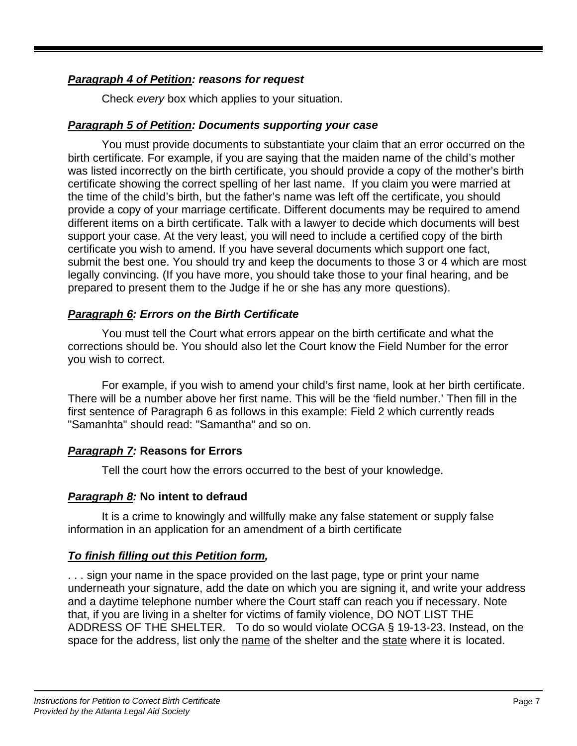### *Paragraph 4 of Petition: reasons for request*

Check *every* box which applies to your situation.

#### *Paragraph 5 of Petition: Documents supporting your case*

You must provide documents to substantiate your claim that an error occurred on the birth certificate. For example, if you are saying that the maiden name of the child's mother was listed incorrectly on the birth certificate, you should provide a copy of the mother's birth certificate showing the correct spelling of her last name. If you claim you were married at the time of the child's birth, but the father's name was left off the certificate, you should provide a copy of your marriage certificate. Different documents may be required to amend different items on a birth certificate. Talk with a lawyer to decide which documents will best support your case. At the very least, you will need to include a certified copy of the birth certificate you wish to amend. If you have several documents which support one fact, submit the best one. You should try and keep the documents to those 3 or 4 which are most legally convincing. (If you have more, you should take those to your final hearing, and be prepared to present them to the Judge if he or she has any more questions).

# *Paragraph 6: Errors on the Birth Certificate*

You must tell the Court what errors appear on the birth certificate and what the corrections should be. You should also let the Court know the Field Number for the error you wish to correct.

For example, if you wish to amend your child's first name, look at her birth certificate. There will be a number above her first name. This will be the 'field number.' Then fill in the first sentence of Paragraph 6 as follows in this example: Field 2 which currently reads "Samanhta" should read: "Samantha" and so on.

# *Paragraph 7:* **Reasons for Errors**

Tell the court how the errors occurred to the best of your knowledge.

# *Paragraph 8:* **No intent to defraud**

It is a crime to knowingly and willfully make any false statement or supply false information in an application for an amendment of a birth certificate

# *To finish filling out this Petition form,*

. . . sign your name in the space provided on the last page, type or print your name underneath your signature, add the date on which you are signing it, and write your address and a daytime telephone number where the Court staff can reach you if necessary. Note that, if you are living in a shelter for victims of family violence, DO NOT LIST THE ADDRESS OF THE SHELTER. To do so would violate OCGA § 19-13-23. Instead, on the space for the address, list only the name of the shelter and the state where it is located.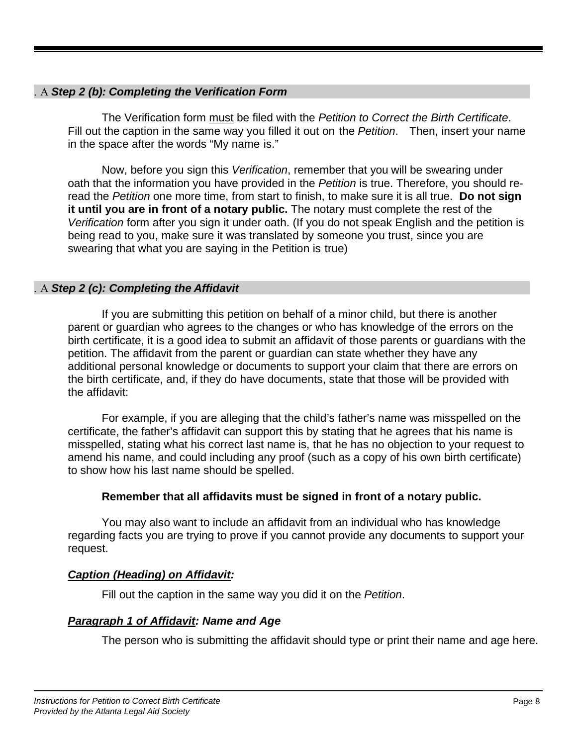#### . Α *Step 2 (b): Completing the Verification Form*

The Verification form must be filed with the *Petition to Correct the Birth Certificate*. Fill out the caption in the same way you filled it out on the *Petition*. Then, insert your name in the space after the words "My name is."

Now, before you sign this *Verification*, remember that you will be swearing under oath that the information you have provided in the *Petition* is true. Therefore, you should reread the *Petition* one more time, from start to finish, to make sure it is all true. **Do not sign it until you are in front of a notary public.** The notary must complete the rest of the *Verification* form after you sign it under oath. (If you do not speak English and the petition is being read to you, make sure it was translated by someone you trust, since you are swearing that what you are saying in the Petition is true)

#### . Α *Step 2 (c): Completing the Affidavit*

If you are submitting this petition on behalf of a minor child, but there is another parent or guardian who agrees to the changes or who has knowledge of the errors on the birth certificate, it is a good idea to submit an affidavit of those parents or guardians with the petition. The affidavit from the parent or guardian can state whether they have any additional personal knowledge or documents to support your claim that there are errors on the birth certificate, and, if they do have documents, state that those will be provided with the affidavit:

For example, if you are alleging that the child's father's name was misspelled on the certificate, the father's affidavit can support this by stating that he agrees that his name is misspelled, stating what his correct last name is, that he has no objection to your request to amend his name, and could including any proof (such as a copy of his own birth certificate) to show how his last name should be spelled.

#### **Remember that all affidavits must be signed in front of a notary public.**

You may also want to include an affidavit from an individual who has knowledge regarding facts you are trying to prove if you cannot provide any documents to support your request.

#### *Caption (Heading) on Affidavit:*

Fill out the caption in the same way you did it on the *Petition*.

#### *Paragraph 1 of Affidavit: Name and Age*

The person who is submitting the affidavit should type or print their name and age here.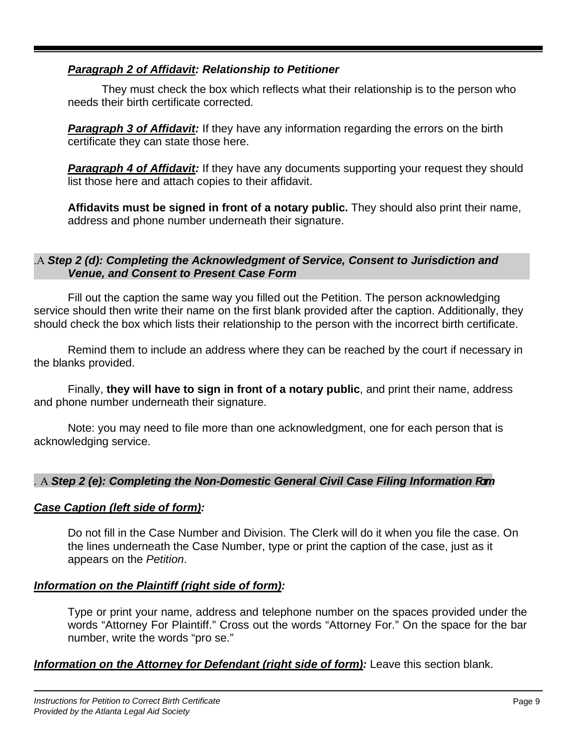#### *Paragraph 2 of Affidavit: Relationship to Petitioner*

They must check the box which reflects what their relationship is to the person who needs their birth certificate corrected.

**Paragraph 3 of Affidavit:** If they have any information regarding the errors on the birth certificate they can state those here.

**Paragraph 4 of Affidavit:** If they have any documents supporting your request they should list those here and attach copies to their affidavit.

**Affidavits must be signed in front of a notary public.** They should also print their name, address and phone number underneath their signature.

#### .Α *Step 2 (d): Completing the Acknowledgment of Service, Consent to Jurisdiction and Venue, and Consent to Present Case Form*

Fill out the caption the same way you filled out the Petition. The person acknowledging service should then write their name on the first blank provided after the caption. Additionally, they should check the box which lists their relationship to the person with the incorrect birth certificate.

Remind them to include an address where they can be reached by the court if necessary in the blanks provided.

Finally, **they will have to sign in front of a notary public**, and print their name, address and phone number underneath their signature.

Note: you may need to file more than one acknowledgment, one for each person that is acknowledging service.

#### . Α *Step 2 (e): Completing the Non-Domestic General Civil Case Filing Information Form*

#### *Case Caption (left side of form):*

Do not fill in the Case Number and Division. The Clerk will do it when you file the case. On the lines underneath the Case Number, type or print the caption of the case, just as it appears on the *Petition*.

#### *Information on the Plaintiff (right side of form):*

Type or print your name, address and telephone number on the spaces provided under the words "Attorney For Plaintiff." Cross out the words "Attorney For." On the space for the bar number, write the words "pro se."

#### **Information on the Attorney for Defendant (right side of form):** Leave this section blank.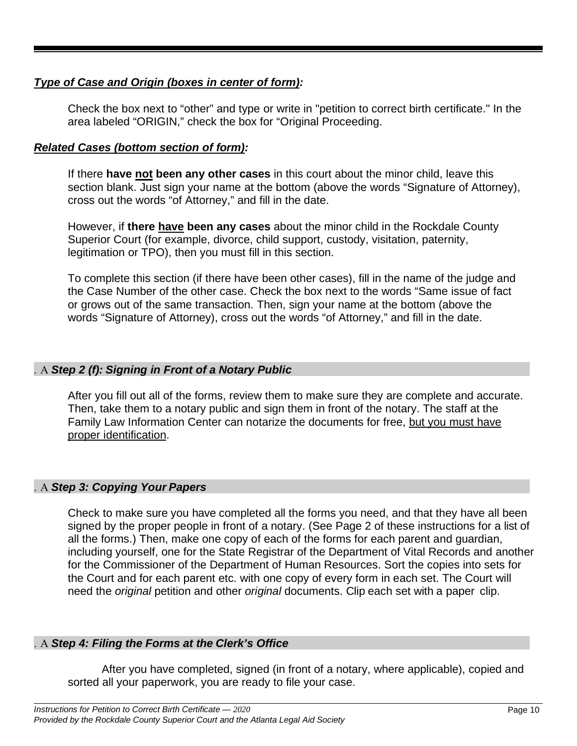#### *Type of Case and Origin (boxes in center of form):*

Check the box next to "other" and type or write in "petition to correct birth certificate." In the area labeled "ORIGIN," check the box for "Original Proceeding.

#### *Related Cases (bottom section of form):*

If there **have not been any other cases** in this court about the minor child, leave this section blank. Just sign your name at the bottom (above the words "Signature of Attorney), cross out the words "of Attorney," and fill in the date.

However, if **there have been any cases** about the minor child in the Rockdale County Superior Court (for example, divorce, child support, custody, visitation, paternity, legitimation or TPO), then you must fill in this section.

To complete this section (if there have been other cases), fill in the name of the judge and the Case Number of the other case. Check the box next to the words "Same issue of fact or grows out of the same transaction. Then, sign your name at the bottom (above the words "Signature of Attorney), cross out the words "of Attorney," and fill in the date.

#### . Α *Step 2 (f): Signing in Front of a Notary Public*

After you fill out all of the forms, review them to make sure they are complete and accurate. Then, take them to a notary public and sign them in front of the notary. The staff at the Family Law Information Center can notarize the documents for free, but you must have proper identification.

#### . Α *Step 3: Copying Your Papers*

Check to make sure you have completed all the forms you need, and that they have all been signed by the proper people in front of a notary. (See Page 2 of these instructions for a list of all the forms.) Then, make one copy of each of the forms for each parent and guardian, including yourself, one for the State Registrar of the Department of Vital Records and another for the Commissioner of the Department of Human Resources. Sort the copies into sets for the Court and for each parent etc. with one copy of every form in each set. The Court will need the *original* petition and other *original* documents. Clip each set with a paper clip.

#### . Α *Step 4: Filing the Forms at the Clerk's Office*

After you have completed, signed (in front of a notary, where applicable), copied and sorted all your paperwork, you are ready to file your case.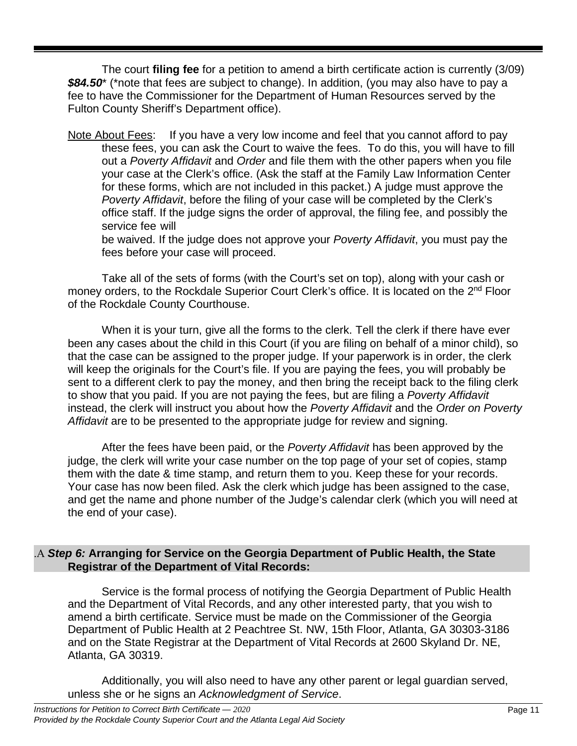The court **filing fee** for a petition to amend a birth certificate action is currently (3/09) *\$84.50*\* (\*note that fees are subject to change). In addition, (you may also have to pay a fee to have the Commissioner for the Department of Human Resources served by the Fulton County Sheriff's Department office).

Note About Fees: If you have a very low income and feel that you cannot afford to pay these fees, you can ask the Court to waive the fees. To do this, you will have to fill out a *Poverty Affidavit* and *Order* and file them with the other papers when you file your case at the Clerk's office. (Ask the staff at the Family Law Information Center for these forms, which are not included in this packet.) A judge must approve the *Poverty Affidavit*, before the filing of your case will be completed by the Clerk's office staff. If the judge signs the order of approval, the filing fee, and possibly the service fee will

be waived. If the judge does not approve your *Poverty Affidavit*, you must pay the fees before your case will proceed.

Take all of the sets of forms (with the Court's set on top), along with your cash or money orders, to the Rockdale Superior Court Clerk's office. It is located on the 2<sup>nd</sup> Floor of the Rockdale County Courthouse.

When it is your turn, give all the forms to the clerk. Tell the clerk if there have ever been any cases about the child in this Court (if you are filing on behalf of a minor child), so that the case can be assigned to the proper judge. If your paperwork is in order, the clerk will keep the originals for the Court's file. If you are paying the fees, you will probably be sent to a different clerk to pay the money, and then bring the receipt back to the filing clerk to show that you paid. If you are not paying the fees, but are filing a *Poverty Affidavit*  instead, the clerk will instruct you about how the *Poverty Affidavit* and the *Order on Poverty Affidavit* are to be presented to the appropriate judge for review and signing.

After the fees have been paid, or the *Poverty Affidavit* has been approved by the judge, the clerk will write your case number on the top page of your set of copies, stamp them with the date & time stamp, and return them to you. Keep these for your records. Your case has now been filed. Ask the clerk which judge has been assigned to the case, and get the name and phone number of the Judge's calendar clerk (which you will need at the end of your case).

#### .Α *Step 6:* **Arranging for Service on the Georgia Department of Public Health, the State Registrar of the Department of Vital Records:**

Service is the formal process of notifying the Georgia Department of Public Health and the Department of Vital Records, and any other interested party, that you wish to amend a birth certificate. Service must be made on the Commissioner of the Georgia Department of Public Health at 2 Peachtree St. NW, 15th Floor, Atlanta, GA 30303-3186 and on the State Registrar at the Department of Vital Records at 2600 Skyland Dr. NE, Atlanta, GA 30319.

Additionally, you will also need to have any other parent or legal guardian served, unless she or he signs an *Acknowledgment of Service*.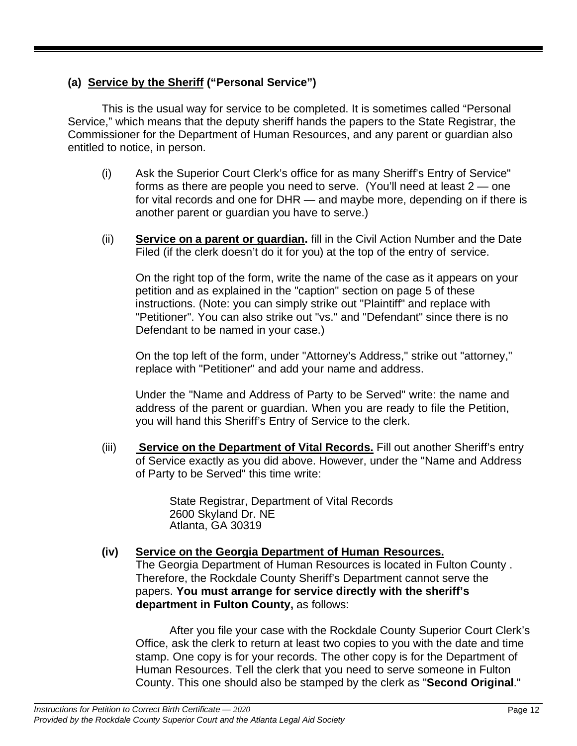#### **(a) Service by the Sheriff ("Personal Service")**

This is the usual way for service to be completed. It is sometimes called "Personal Service," which means that the deputy sheriff hands the papers to the State Registrar, the Commissioner for the Department of Human Resources, and any parent or guardian also entitled to notice, in person.

- (i) Ask the Superior Court Clerk's office for as many Sheriff's Entry of Service" forms as there are people you need to serve. (You'll need at least 2 — one for vital records and one for DHR — and maybe more, depending on if there is another parent or guardian you have to serve.)
- (ii) **Service on a parent or guardian.** fill in the Civil Action Number and the Date Filed (if the clerk doesn't do it for you) at the top of the entry of service.

On the right top of the form, write the name of the case as it appears on your petition and as explained in the "caption" section on page 5 of these instructions. (Note: you can simply strike out "Plaintiff" and replace with "Petitioner". You can also strike out "vs." and "Defendant" since there is no Defendant to be named in your case.)

On the top left of the form, under "Attorney's Address," strike out "attorney," replace with "Petitioner" and add your name and address.

Under the "Name and Address of Party to be Served" write: the name and address of the parent or guardian. When you are ready to file the Petition, you will hand this Sheriff's Entry of Service to the clerk.

(iii) **Service on the Department of Vital Records.** Fill out another Sheriff's entry of Service exactly as you did above. However, under the "Name and Address of Party to be Served" this time write:

> State Registrar, Department of Vital Records 2600 Skyland Dr. NE Atlanta, GA 30319

#### **(iv) Service on the Georgia Department of Human Resources.**

The Georgia Department of Human Resources is located in Fulton County . Therefore, the Rockdale County Sheriff's Department cannot serve the papers. **You must arrange for service directly with the sheriff's department in Fulton County,** as follows:

After you file your case with the Rockdale County Superior Court Clerk's Office, ask the clerk to return at least two copies to you with the date and time stamp. One copy is for your records. The other copy is for the Department of Human Resources. Tell the clerk that you need to serve someone in Fulton County. This one should also be stamped by the clerk as "**Second Original**."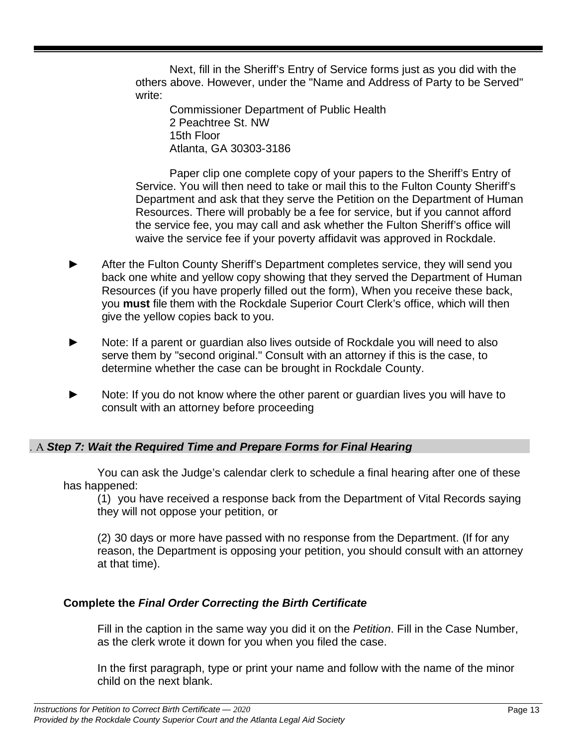Next, fill in the Sheriff's Entry of Service forms just as you did with the others above. However, under the "Name and Address of Party to be Served" write:

Commissioner Department of Public Health 2 Peachtree St. NW 15th Floor Atlanta, GA 30303-3186

Paper clip one complete copy of your papers to the Sheriff's Entry of Service. You will then need to take or mail this to the Fulton County Sheriff's Department and ask that they serve the Petition on the Department of Human Resources. There will probably be a fee for service, but if you cannot afford the service fee, you may call and ask whether the Fulton Sheriff's office will waive the service fee if your poverty affidavit was approved in Rockdale.

- After the Fulton County Sheriff's Department completes service, they will send you back one white and yellow copy showing that they served the Department of Human Resources (if you have properly filled out the form), When you receive these back, you **must** file them with the Rockdale Superior Court Clerk's office, which will then give the yellow copies back to you.
- Note: If a parent or guardian also lives outside of Rockdale you will need to also serve them by "second original." Consult with an attorney if this is the case, to determine whether the case can be brought in Rockdale County.
- Note: If you do not know where the other parent or guardian lives you will have to consult with an attorney before proceeding

#### . Α *Step 7: Wait the Required Time and Prepare Forms for Final Hearing*

You can ask the Judge's calendar clerk to schedule a final hearing after one of these has happened:

(1) you have received a response back from the Department of Vital Records saying they will not oppose your petition, or

(2) 30 days or more have passed with no response from the Department. (If for any reason, the Department is opposing your petition, you should consult with an attorney at that time).

#### **Complete the** *Final Order Correcting the Birth Certificate*

Fill in the caption in the same way you did it on the *Petition*. Fill in the Case Number, as the clerk wrote it down for you when you filed the case.

In the first paragraph, type or print your name and follow with the name of the minor child on the next blank.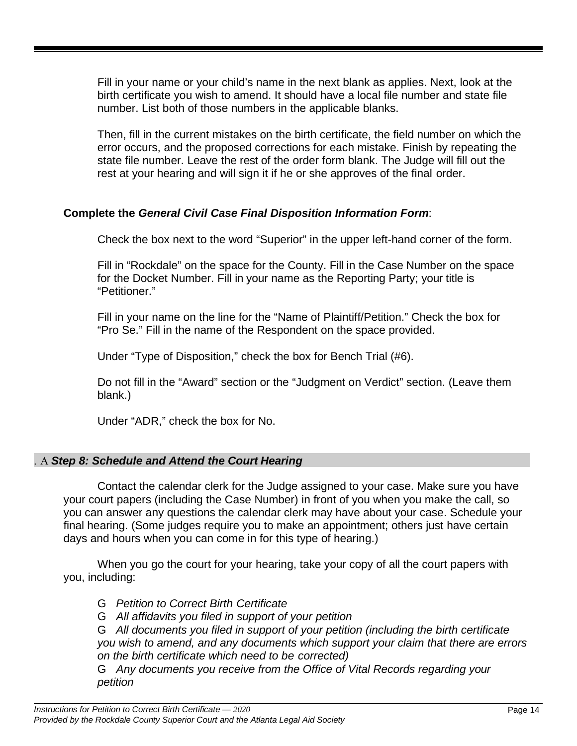Fill in your name or your child's name in the next blank as applies. Next, look at the birth certificate you wish to amend. It should have a local file number and state file number. List both of those numbers in the applicable blanks.

Then, fill in the current mistakes on the birth certificate, the field number on which the error occurs, and the proposed corrections for each mistake. Finish by repeating the state file number. Leave the rest of the order form blank. The Judge will fill out the rest at your hearing and will sign it if he or she approves of the final order.

#### **Complete the** *General Civil Case Final Disposition Information Form*:

Check the box next to the word "Superior" in the upper left-hand corner of the form.

Fill in "Rockdale" on the space for the County. Fill in the Case Number on the space for the Docket Number. Fill in your name as the Reporting Party; your title is "Petitioner."

Fill in your name on the line for the "Name of Plaintiff/Petition." Check the box for "Pro Se." Fill in the name of the Respondent on the space provided.

Under "Type of Disposition," check the box for Bench Trial (#6).

Do not fill in the "Award" section or the "Judgment on Verdict" section. (Leave them blank.)

Under "ADR," check the box for No.

#### . Α *Step 8: Schedule and Attend the Court Hearing*

Contact the calendar clerk for the Judge assigned to your case. Make sure you have your court papers (including the Case Number) in front of you when you make the call, so you can answer any questions the calendar clerk may have about your case. Schedule your final hearing. (Some judges require you to make an appointment; others just have certain days and hours when you can come in for this type of hearing.)

When you go the court for your hearing, take your copy of all the court papers with you, including:

- G *Petition to Correct Birth Certificate*
- G *All affidavits you filed in support of your petition*

G *All documents you filed in support of your petition (including the birth certificate you wish to amend, and any documents which support your claim that there are errors on the birth certificate which need to be corrected)*

G *Any documents you receive from the Office of Vital Records regarding your petition*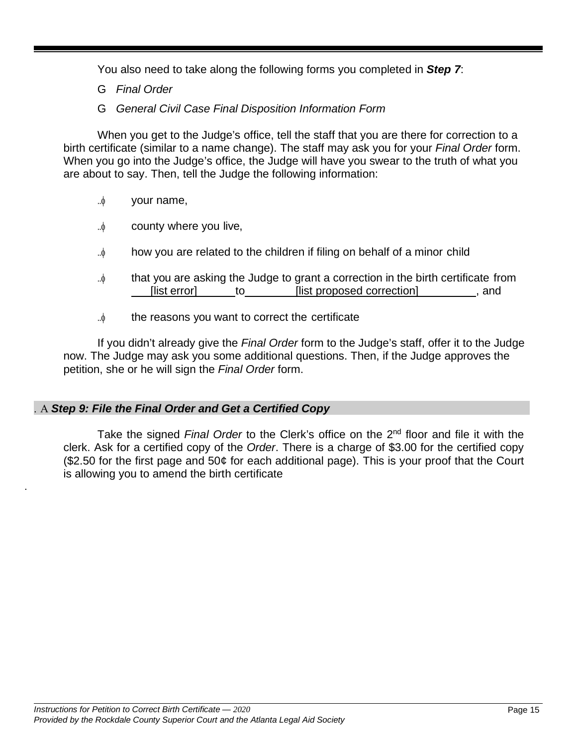You also need to take along the following forms you completed in *Step 7*:

- G *Final Order*
- G *General Civil Case Final Disposition Information Form*

When you get to the Judge's office, tell the staff that you are there for correction to a birth certificate (similar to a name change). The staff may ask you for your *Final Order* form. When you go into the Judge's office, the Judge will have you swear to the truth of what you are about to say. Then, tell the Judge the following information:

- ..φ your name,
- ..φ county where you live,
- ..φ how you are related to the children if filing on behalf of a minor child
- ..φ that you are asking the Judge to grant a correction in the birth certificate from [list error] to [list proposed correction] and
- $\phi$  the reasons you want to correct the certificate

If you didn't already give the *Final Order* form to the Judge's staff, offer it to the Judge now. The Judge may ask you some additional questions. Then, if the Judge approves the petition, she or he will sign the *Final Order* form.

#### . Α *Step 9: File the Final Order and Get a Certified Copy*

.

Take the signed *Final Order* to the Clerk's office on the 2nd floor and file it with the clerk. Ask for a certified copy of the *Order*. There is a charge of \$3.00 for the certified copy (\$2.50 for the first page and 50¢ for each additional page). This is your proof that the Court is allowing you to amend the birth certificate